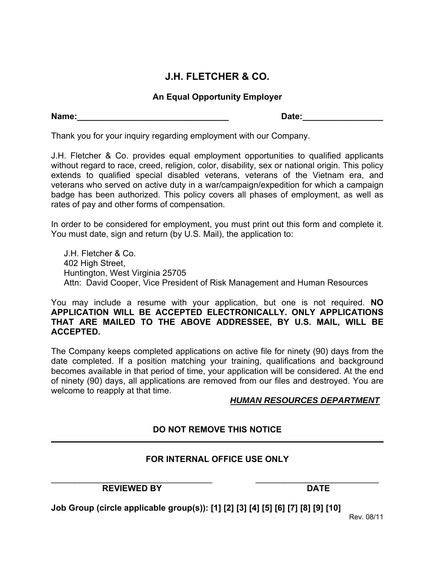# **J.H. FLETCHER & CO.**

## **An Equal Opportunity Employer**

**Name:\_\_\_\_\_\_\_\_\_\_\_\_\_\_\_\_\_\_\_\_\_\_\_\_\_\_\_\_\_\_\_\_ Date:\_\_\_\_\_\_\_\_\_\_\_\_\_\_\_\_\_** 

Thank you for your inquiry regarding employment with our Company.

J.H. Fletcher & Co. provides equal employment opportunities to qualified applicants without regard to race, creed, religion, color, disability, sex or national origin. This policy extends to qualified special disabled veterans, veterans of the Vietnam era, and veterans who served on active duty in a war/campaign/expedition for which a campaign badge has been authorized. This policy covers all phases of employment, as well as rates of pay and other forms of compensation.

In order to be considered for employment, you must print out this form and complete it. You must date, sign and return (by U.S. Mail), the application to:

J.H. Fletcher & Co. 402 High Street, Huntington, West Virginia 25705 Attn: David Cooper, Vice President of Risk Management and Human Resources

You may include a resume with your application, but one is not required. **NO APPLICATION WILL BE ACCEPTED ELECTRONICALLY. ONLY APPLICATIONS THAT ARE MAILED TO THE ABOVE ADDRESSEE, BY U.S. MAIL, WILL BE ACCEPTED.** 

The Company keeps completed applications on active file for ninety (90) days from the date completed. If a position matching your training, qualifications and background becomes available in that period of time, your application will be considered. At the end of ninety (90) days, all applications are removed from our files and destroyed. You are welcome to reapply at that time.

### *HUMAN RESOURCES DEPARTMENT*

# **DO NOT REMOVE THIS NOTICE**

### **FOR INTERNAL OFFICE USE ONLY**

\_\_\_\_\_\_\_\_\_\_\_\_\_\_\_\_\_\_\_\_\_\_\_\_\_\_\_\_\_\_\_\_\_\_ \_\_\_\_\_\_\_\_\_\_\_\_\_\_\_\_\_\_\_\_\_\_\_\_\_\_ REVIEWED BY DATE

**Job Group (circle applicable group(s)): [1] [2] [3] [4] [5] [6] [7] [8] [9] [10]**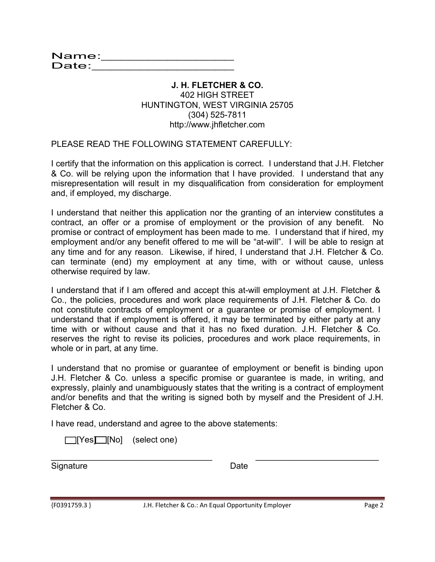Name:\_\_\_\_\_\_\_\_\_\_\_\_\_\_\_\_\_\_ name:\_\_\_\_\_\_\_\_\_\_\_\_\_\_\_\_<br>Date:\_\_\_\_\_\_\_\_\_\_\_\_\_\_\_\_\_\_\_\_

#### **J. H. FLETCHER & CO.**  402 HIGH STREET HUNTINGTON, WEST VIRGINIA 25705 (304) 525-7811 http://www.jhfletcher.com

PLEASE READ THE FOLLOWING STATEMENT CAREFULLY:

I certify that the information on this application is correct. I understand that J.H. Fletcher & Co. will be relying upon the information that I have provided. I understand that any misrepresentation will result in my disqualification from consideration for employment and, if employed, my discharge.

I understand that neither this application nor the granting of an interview constitutes a contract, an offer or a promise of employment or the provision of any benefit. No promise or contract of employment has been made to me. I understand that if hired, my employment and/or any benefit offered to me will be "at-will". I will be able to resign at any time and for any reason. Likewise, if hired, I understand that J.H. Fletcher & Co. can terminate (end) my employment at any time, with or without cause, unless otherwise required by law.

I understand that if I am offered and accept this at-will employment at J.H. Fletcher & Co., the policies, procedures and work place requirements of J.H. Fletcher & Co. do not constitute contracts of employment or a guarantee or promise of employment. I understand that if employment is offered, it may be terminated by either party at any time with or without cause and that it has no fixed duration. J.H. Fletcher & Co. reserves the right to revise its policies, procedures and work place requirements, in whole or in part, at any time.

I understand that no promise or guarantee of employment or benefit is binding upon J.H. Fletcher & Co. unless a specific promise or guarantee is made, in writing, and expressly, plainly and unambiguously states that the writing is a contract of employment and/or benefits and that the writing is signed both by myself and the President of J.H. Fletcher & Co.

I have read, understand and agree to the above statements:

 $\Box$  [Yes $\Box$  [No] (select one)

Signature Date

\_\_\_\_\_\_\_\_\_\_\_\_\_\_\_\_\_\_\_\_\_\_\_\_\_\_\_\_\_\_\_\_\_\_ \_\_\_\_\_\_\_\_\_\_\_\_\_\_\_\_\_\_\_\_\_\_\_\_\_\_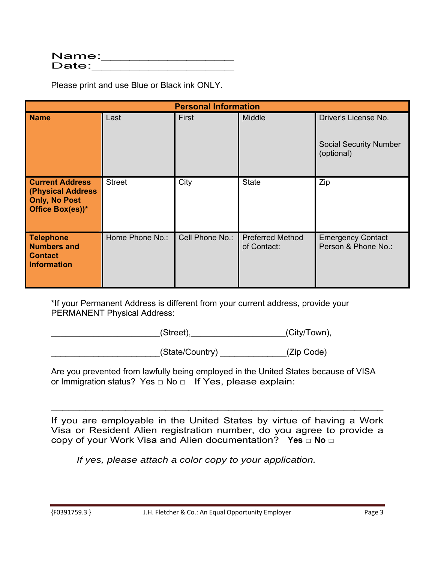| Name: |  |
|-------|--|
| Date: |  |

Please print and use Blue or Black ink ONLY.

| <b>Personal Information</b>                                                             |                 |                 |                                        |                                                                     |
|-----------------------------------------------------------------------------------------|-----------------|-----------------|----------------------------------------|---------------------------------------------------------------------|
| <b>Name</b>                                                                             | Last            | First           | Middle                                 | Driver's License No.<br><b>Social Security Number</b><br>(optional) |
| <b>Current Address</b><br>(Physical Address<br><b>Only, No Post</b><br>Office Box(es))* | <b>Street</b>   | City            | <b>State</b>                           | Zip                                                                 |
| <b>Telephone</b><br><b>Numbers and</b><br><b>Contact</b><br><b>Information</b>          | Home Phone No.: | Cell Phone No.: | <b>Preferred Method</b><br>of Contact: | <b>Emergency Contact</b><br>Person & Phone No.:                     |

\*If your Permanent Address is different from your current address, provide your PERMANENT Physical Address:

\_\_\_\_\_\_\_\_\_\_\_\_\_\_\_\_\_\_\_\_\_\_(Street),\_\_\_\_\_\_\_\_\_\_\_\_\_\_\_\_\_\_\_\_\_\_\_\_\_\_(City/Town),

\_\_\_\_\_\_\_\_\_\_\_\_\_\_\_\_\_\_\_\_\_\_\_(State/Country) \_\_\_\_\_\_\_\_\_\_\_\_\_\_(Zip Code)

Are you prevented from lawfully being employed in the United States because of VISA or Immigration status? Yes  $\Box$  No  $\Box$  If Yes, please explain:

If you are employable in the United States by virtue of having a Work Visa or Resident Alien registration number, do you agree to provide a copy of your Work Visa and Alien documentation? **Yes □ No □**

\_\_\_\_\_\_\_\_\_\_\_\_\_\_\_\_\_\_\_\_\_\_\_\_\_\_\_\_\_\_\_\_\_\_\_\_\_\_\_\_\_\_\_\_\_\_\_\_\_\_\_\_\_\_\_\_\_\_

*If yes, please attach a color copy to your application.*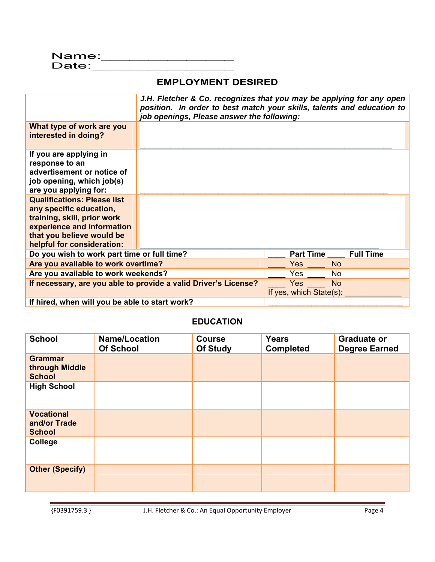### **EMPLOYMENT DESIRED**

|                                                                                                                                                                                                                              | J.H. Fletcher & Co. recognizes that you may be applying for any open<br>position. In order to best match your skills, talents and education to<br>job openings, Please answer the following: |                                       |                  |
|------------------------------------------------------------------------------------------------------------------------------------------------------------------------------------------------------------------------------|----------------------------------------------------------------------------------------------------------------------------------------------------------------------------------------------|---------------------------------------|------------------|
| What type of work are you<br>interested in doing?                                                                                                                                                                            |                                                                                                                                                                                              |                                       |                  |
| If you are applying in<br>response to an<br>advertisement or notice of<br>job opening, which job(s)<br>are you applying for:<br><b>Qualifications: Please list</b><br>any specific education,<br>training, skill, prior work |                                                                                                                                                                                              |                                       |                  |
| experience and information<br>that you believe would be<br>helpful for consideration:                                                                                                                                        |                                                                                                                                                                                              |                                       |                  |
| Do you wish to work part time or full time?                                                                                                                                                                                  |                                                                                                                                                                                              | <b>Part Time</b>                      | <b>Full Time</b> |
| Are you available to work overtime?                                                                                                                                                                                          |                                                                                                                                                                                              | <b>Yes</b>                            | <b>No</b>        |
| Are you available to work weekends?                                                                                                                                                                                          |                                                                                                                                                                                              | Yes                                   | No               |
|                                                                                                                                                                                                                              | If necessary, are you able to provide a valid Driver's License?                                                                                                                              | <b>Yes</b><br>If yes, which State(s): | <b>No</b>        |
| If hired, when will you be able to start work?                                                                                                                                                                               |                                                                                                                                                                                              |                                       |                  |

#### **EDUCATION**

| <b>School</b>                                      | <b>Name/Location</b><br><b>Of School</b> | <b>Course</b><br><b>Of Study</b> | <b>Years</b><br><b>Completed</b> | <b>Graduate or</b><br><b>Degree Earned</b> |
|----------------------------------------------------|------------------------------------------|----------------------------------|----------------------------------|--------------------------------------------|
| <b>Grammar</b><br>through Middle<br><b>School</b>  |                                          |                                  |                                  |                                            |
| <b>High School</b>                                 |                                          |                                  |                                  |                                            |
| <b>Vocational</b><br>and/or Trade<br><b>School</b> |                                          |                                  |                                  |                                            |
| College                                            |                                          |                                  |                                  |                                            |
| <b>Other (Specify)</b>                             |                                          |                                  |                                  |                                            |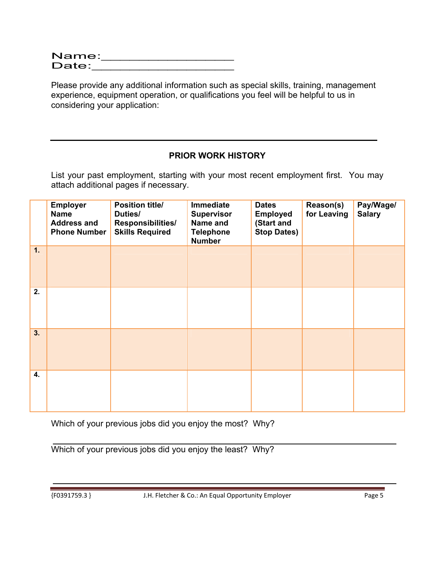| Name: |  |  |
|-------|--|--|
| Date: |  |  |

Please provide any additional information such as special skills, training, management experience, equipment operation, or qualifications you feel will be helpful to us in considering your application:

# **PRIOR WORK HISTORY**

List your past employment, starting with your most recent employment first. You may attach additional pages if necessary.

|                  | <b>Employer</b><br><b>Name</b><br><b>Address and</b><br><b>Phone Number</b> | <b>Position title/</b><br>Duties/<br>Responsibilities/<br><b>Skills Required</b> | Immediate<br><b>Supervisor</b><br>Name and<br><b>Telephone</b><br><b>Number</b> | <b>Dates</b><br><b>Employed</b><br>(Start and<br><b>Stop Dates)</b> | Reason(s)<br>for Leaving | Pay/Wage/<br><b>Salary</b> |
|------------------|-----------------------------------------------------------------------------|----------------------------------------------------------------------------------|---------------------------------------------------------------------------------|---------------------------------------------------------------------|--------------------------|----------------------------|
| 1.               |                                                                             |                                                                                  |                                                                                 |                                                                     |                          |                            |
| 2.               |                                                                             |                                                                                  |                                                                                 |                                                                     |                          |                            |
| $\overline{3}$ . |                                                                             |                                                                                  |                                                                                 |                                                                     |                          |                            |
| 4.               |                                                                             |                                                                                  |                                                                                 |                                                                     |                          |                            |

Which of your previous jobs did you enjoy the most? Why?

Which of your previous jobs did you enjoy the least? Why?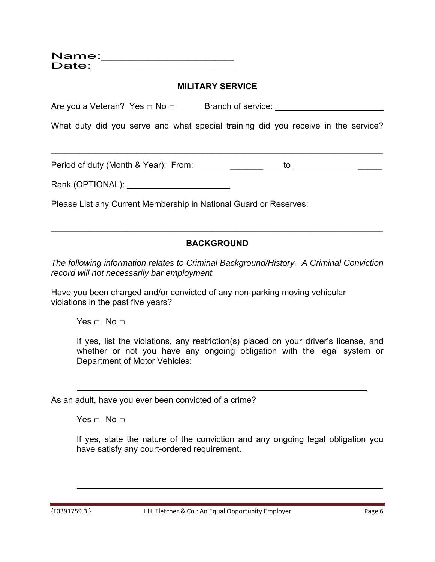| Name: |  |  |
|-------|--|--|
| Date: |  |  |
|       |  |  |

#### **MILITARY SERVICE**

Are you a Veteran? Yes □ No □ Branch of service: \_\_\_\_\_\_\_\_\_\_\_\_\_\_\_\_\_\_\_\_\_\_\_\_\_\_\_\_\_\_\_

What duty did you serve and what special training did you receive in the service?

Period of duty (Month & Year): From: \_\_\_\_\_\_\_ to \_\_\_\_\_

\_\_\_\_\_\_\_\_\_\_\_\_\_\_\_\_\_\_\_\_\_\_\_\_\_\_\_\_\_\_\_\_\_\_\_\_\_\_\_\_\_\_\_\_\_\_\_\_\_\_\_\_\_\_\_\_\_\_\_\_\_\_\_\_\_\_\_\_\_\_

Rank (OPTIONAL):  $\blacksquare$ 

Please List any Current Membership in National Guard or Reserves:

# **BACKGROUND**

\_\_\_\_\_\_\_\_\_\_\_\_\_\_\_\_\_\_\_\_\_\_\_\_\_\_\_\_\_\_\_\_\_\_\_\_\_\_\_\_\_\_\_\_\_\_\_\_\_\_\_\_\_\_\_\_\_\_\_\_\_\_\_\_\_\_\_\_\_\_

*The following information relates to Criminal Background/History. A Criminal Conviction record will not necessarily bar employment.* 

Have you been charged and/or convicted of any non-parking moving vehicular violations in the past five years?

 $Yes \sqcap No \sqcap$ 

If yes, list the violations, any restriction(s) placed on your driver's license, and whether or not you have any ongoing obligation with the legal system or Department of Motor Vehicles:

As an adult, have you ever been convicted of a crime?

Yes  $\Box$  No  $\Box$ 

If yes, state the nature of the conviction and any ongoing legal obligation you have satisfy any court-ordered requirement.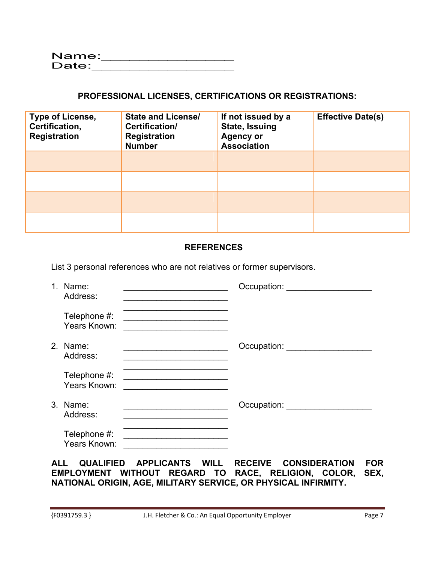# **PROFESSIONAL LICENSES, CERTIFICATIONS OR REGISTRATIONS:**

| Type of License,<br>Certification,<br><b>Registration</b> | <b>State and License/</b><br>Certification/<br><b>Registration</b><br><b>Number</b> | If not issued by a<br><b>State, Issuing</b><br><b>Agency or</b><br><b>Association</b> | <b>Effective Date(s)</b> |
|-----------------------------------------------------------|-------------------------------------------------------------------------------------|---------------------------------------------------------------------------------------|--------------------------|
|                                                           |                                                                                     |                                                                                       |                          |
|                                                           |                                                                                     |                                                                                       |                          |
|                                                           |                                                                                     |                                                                                       |                          |
|                                                           |                                                                                     |                                                                                       |                          |

### **REFERENCES**

List 3 personal references who are not relatives or former supervisors.

| 1. Name:<br>Address:         | Occupation: _____________________ |
|------------------------------|-----------------------------------|
| Telephone #:<br>Years Known: |                                   |
| 2. Name:<br>Address:         | Occupation:                       |
| Telephone #:<br>Years Known: |                                   |
| 3. Name:<br>Address:         |                                   |
| Telephone #:<br>Years Known: |                                   |

**ALL QUALIFIED APPLICANTS WILL RECEIVE CONSIDERATION FOR EMPLOYMENT WITHOUT REGARD TO RACE, RELIGION, COLOR, SEX, NATIONAL ORIGIN, AGE, MILITARY SERVICE, OR PHYSICAL INFIRMITY.**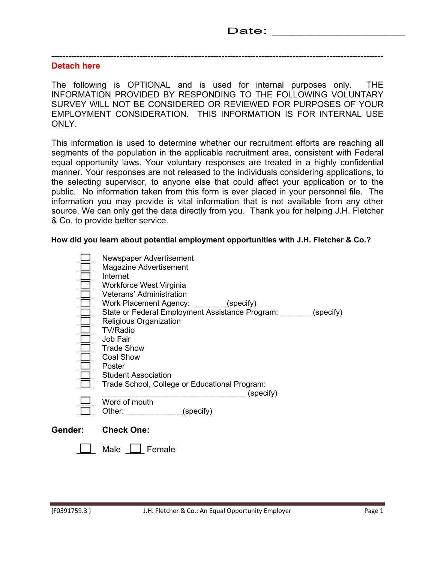#### **---------------------------------------------------------------------------------------------------------------------**

#### **Detach here**

The following is OPTIONAL and is used for internal purposes only. THE INFORMATION PROVIDED BY RESPONDING TO THE FOLLOWING VOLUNTARY SURVEY WILL NOT BE CONSIDERED OR REVIEWED FOR PURPOSES OF YOUR EMPLOYMENT CONSIDERATION. THIS INFORMATION IS FOR INTERNAL USE ONLY.

This information is used to determine whether our recruitment efforts are reaching all segments of the population in the applicable recruitment area, consistent with Federal equal opportunity laws. Your voluntary responses are treated in a highly confidential manner. Your responses are not released to the individuals considering applications, to the selecting supervisor, to anyone else that could affect your application or to the public. No information taken from this form is ever placed in your personnel file. The information you may provide is vital information that is not available from any other source. We can only get the data directly from you. Thank you for helping J.H. Fletcher & Co. to provide better service.

**How did you learn about potential employment opportunities with J.H. Fletcher & Co.?** 

|         | Newspaper Advertisement<br>Magazine Advertisement<br>Internet<br>Workforce West Virginia<br>Veterans' Administration<br>Work Placement Agency: ________(specify)<br>State or Federal Employment Assistance Program: (specify)<br>Religious Organization<br><b>TV/Radio</b><br>Job Fair<br><b>Trade Show</b><br>Coal Show<br>Poster<br><b>Student Association</b><br>Trade School, College or Educational Program:<br>(specify)<br>Word of mouth |
|---------|-------------------------------------------------------------------------------------------------------------------------------------------------------------------------------------------------------------------------------------------------------------------------------------------------------------------------------------------------------------------------------------------------------------------------------------------------|
|         | (specify)<br>Other:                                                                                                                                                                                                                                                                                                                                                                                                                             |
| Gender: | <b>Check One:</b>                                                                                                                                                                                                                                                                                                                                                                                                                               |
|         | Male<br>Female                                                                                                                                                                                                                                                                                                                                                                                                                                  |